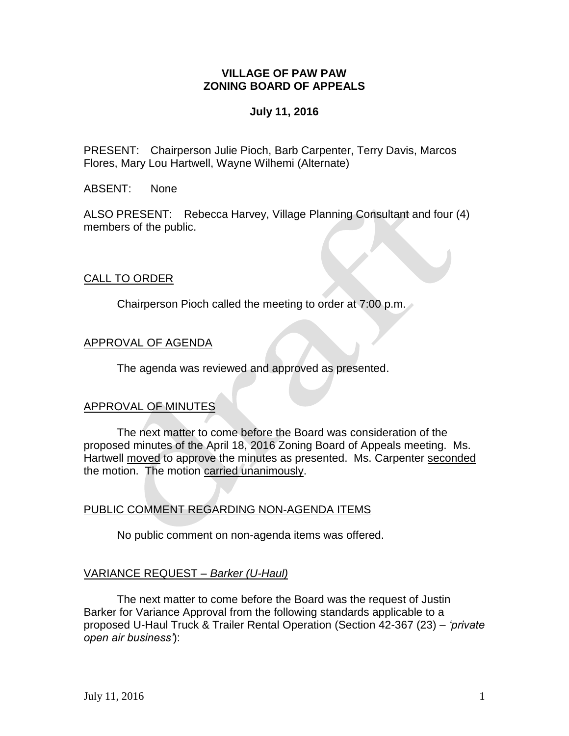#### **VILLAGE OF PAW PAW ZONING BOARD OF APPEALS**

#### **July 11, 2016**

PRESENT: Chairperson Julie Pioch, Barb Carpenter, Terry Davis, Marcos Flores, Mary Lou Hartwell, Wayne Wilhemi (Alternate)

ABSENT: None

ALSO PRESENT: Rebecca Harvey, Village Planning Consultant and four (4) members of the public.

## CALL TO ORDER

Chairperson Pioch called the meeting to order at 7:00 p.m.

#### APPROVAL OF AGENDA

The agenda was reviewed and approved as presented.

#### APPROVAL OF MINUTES

The next matter to come before the Board was consideration of the proposed minutes of the April 18, 2016 Zoning Board of Appeals meeting. Ms. Hartwell moved to approve the minutes as presented. Ms. Carpenter seconded the motion. The motion carried unanimously.

## PUBLIC COMMENT REGARDING NON-AGENDA ITEMS

No public comment on non-agenda items was offered.

#### VARIANCE REQUEST *– Barker (U-Haul)*

The next matter to come before the Board was the request of Justin Barker for Variance Approval from the following standards applicable to a proposed U-Haul Truck & Trailer Rental Operation (Section 42-367 (23) – *'private open air business'*):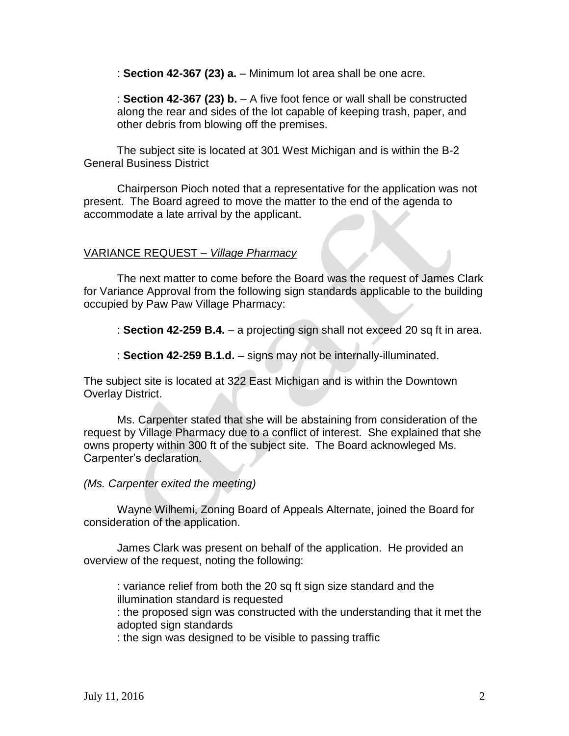: **Section 42-367 (23) a.** – Minimum lot area shall be one acre.

: **Section 42-367 (23) b.** – A five foot fence or wall shall be constructed along the rear and sides of the lot capable of keeping trash, paper, and other debris from blowing off the premises.

The subject site is located at 301 West Michigan and is within the B-2 General Business District

Chairperson Pioch noted that a representative for the application was not present. The Board agreed to move the matter to the end of the agenda to accommodate a late arrival by the applicant.

#### VARIANCE REQUEST *– Village Pharmacy*

The next matter to come before the Board was the request of James Clark for Variance Approval from the following sign standards applicable to the building occupied by Paw Paw Village Pharmacy:

: **Section 42-259 B.4.** – a projecting sign shall not exceed 20 sq ft in area.

: **Section 42-259 B.1.d.** – signs may not be internally-illuminated.

The subject site is located at 322 East Michigan and is within the Downtown Overlay District.

Ms. Carpenter stated that she will be abstaining from consideration of the request by Village Pharmacy due to a conflict of interest. She explained that she owns property within 300 ft of the subject site. The Board acknowleged Ms. Carpenter's declaration.

*(Ms. Carpenter exited the meeting)*

Wayne Wilhemi, Zoning Board of Appeals Alternate, joined the Board for consideration of the application.

James Clark was present on behalf of the application. He provided an overview of the request, noting the following:

: variance relief from both the 20 sq ft sign size standard and the illumination standard is requested

: the proposed sign was constructed with the understanding that it met the adopted sign standards

: the sign was designed to be visible to passing traffic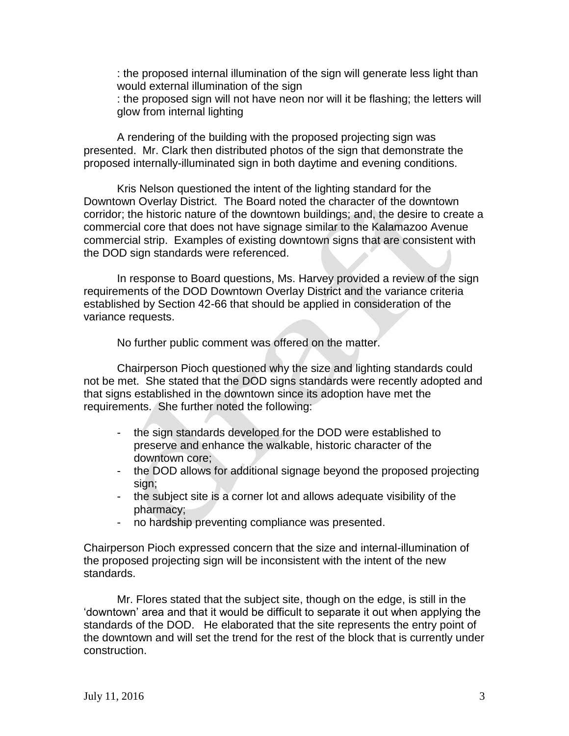: the proposed internal illumination of the sign will generate less light than would external illumination of the sign : the proposed sign will not have neon nor will it be flashing; the letters will glow from internal lighting

A rendering of the building with the proposed projecting sign was presented. Mr. Clark then distributed photos of the sign that demonstrate the proposed internally-illuminated sign in both daytime and evening conditions.

Kris Nelson questioned the intent of the lighting standard for the Downtown Overlay District. The Board noted the character of the downtown corridor; the historic nature of the downtown buildings; and, the desire to create a commercial core that does not have signage similar to the Kalamazoo Avenue commercial strip. Examples of existing downtown signs that are consistent with the DOD sign standards were referenced.

In response to Board questions, Ms. Harvey provided a review of the sign requirements of the DOD Downtown Overlay District and the variance criteria established by Section 42-66 that should be applied in consideration of the variance requests.

No further public comment was offered on the matter.

Chairperson Pioch questioned why the size and lighting standards could not be met. She stated that the DOD signs standards were recently adopted and that signs established in the downtown since its adoption have met the requirements. She further noted the following:

- the sign standards developed for the DOD were established to preserve and enhance the walkable, historic character of the downtown core;
- the DOD allows for additional signage beyond the proposed projecting sign;
- the subject site is a corner lot and allows adequate visibility of the pharmacy;
- no hardship preventing compliance was presented.

Chairperson Pioch expressed concern that the size and internal-illumination of the proposed projecting sign will be inconsistent with the intent of the new standards.

Mr. Flores stated that the subject site, though on the edge, is still in the 'downtown' area and that it would be difficult to separate it out when applying the standards of the DOD. He elaborated that the site represents the entry point of the downtown and will set the trend for the rest of the block that is currently under construction.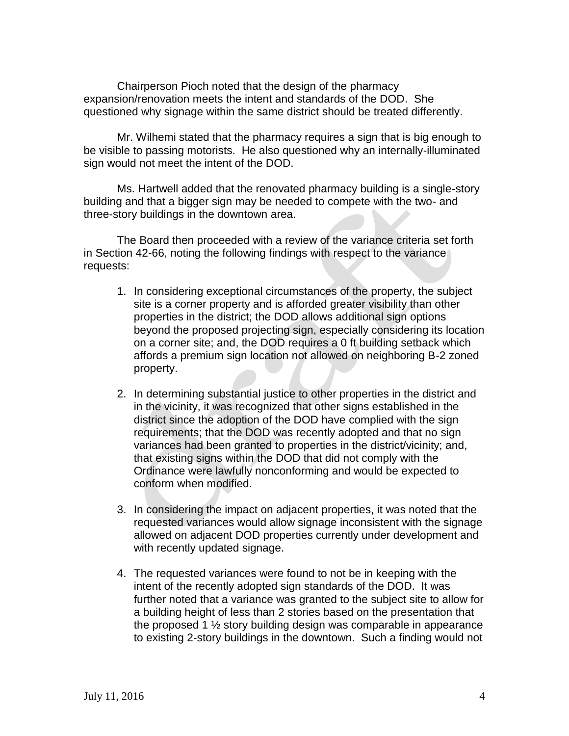Chairperson Pioch noted that the design of the pharmacy expansion/renovation meets the intent and standards of the DOD. She questioned why signage within the same district should be treated differently.

Mr. Wilhemi stated that the pharmacy requires a sign that is big enough to be visible to passing motorists. He also questioned why an internally-illuminated sign would not meet the intent of the DOD.

Ms. Hartwell added that the renovated pharmacy building is a single-story building and that a bigger sign may be needed to compete with the two- and three-story buildings in the downtown area.

The Board then proceeded with a review of the variance criteria set forth in Section 42-66, noting the following findings with respect to the variance requests:

- 1. In considering exceptional circumstances of the property, the subject site is a corner property and is afforded greater visibility than other properties in the district; the DOD allows additional sign options beyond the proposed projecting sign, especially considering its location on a corner site; and, the DOD requires a 0 ft building setback which affords a premium sign location not allowed on neighboring B-2 zoned property.
- 2. In determining substantial justice to other properties in the district and in the vicinity, it was recognized that other signs established in the district since the adoption of the DOD have complied with the sign requirements; that the DOD was recently adopted and that no sign variances had been granted to properties in the district/vicinity; and, that existing signs within the DOD that did not comply with the Ordinance were lawfully nonconforming and would be expected to conform when modified.
- 3. In considering the impact on adjacent properties, it was noted that the requested variances would allow signage inconsistent with the signage allowed on adjacent DOD properties currently under development and with recently updated signage.
- 4. The requested variances were found to not be in keeping with the intent of the recently adopted sign standards of the DOD. It was further noted that a variance was granted to the subject site to allow for a building height of less than 2 stories based on the presentation that the proposed 1  $\frac{1}{2}$  story building design was comparable in appearance to existing 2-story buildings in the downtown. Such a finding would not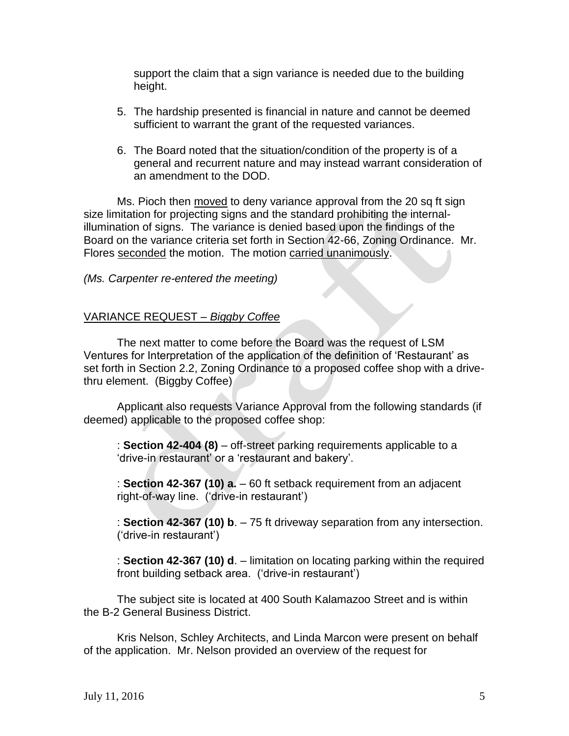support the claim that a sign variance is needed due to the building height.

- 5. The hardship presented is financial in nature and cannot be deemed sufficient to warrant the grant of the requested variances.
- 6. The Board noted that the situation/condition of the property is of a general and recurrent nature and may instead warrant consideration of an amendment to the DOD.

Ms. Pioch then moved to deny variance approval from the 20 sq ft sign size limitation for projecting signs and the standard prohibiting the internalillumination of signs. The variance is denied based upon the findings of the Board on the variance criteria set forth in Section 42-66, Zoning Ordinance. Mr. Flores seconded the motion. The motion carried unanimously.

#### *(Ms. Carpenter re-entered the meeting)*

#### VARIANCE REQUEST *– Biggby Coffee*

The next matter to come before the Board was the request of LSM Ventures for Interpretation of the application of the definition of 'Restaurant' as set forth in Section 2.2, Zoning Ordinance to a proposed coffee shop with a drivethru element. (Biggby Coffee)

Applicant also requests Variance Approval from the following standards (if deemed) applicable to the proposed coffee shop:

: **Section 42-404 (8)** – off-street parking requirements applicable to a 'drive-in restaurant' or a 'restaurant and bakery'.

: **Section 42-367 (10) a.** – 60 ft setback requirement from an adjacent right-of-way line. ('drive-in restaurant')

: **Section 42-367 (10) b**. – 75 ft driveway separation from any intersection. ('drive-in restaurant')

: **Section 42-367 (10) d**. – limitation on locating parking within the required front building setback area. ('drive-in restaurant')

The subject site is located at 400 South Kalamazoo Street and is within the B-2 General Business District.

Kris Nelson, Schley Architects, and Linda Marcon were present on behalf of the application. Mr. Nelson provided an overview of the request for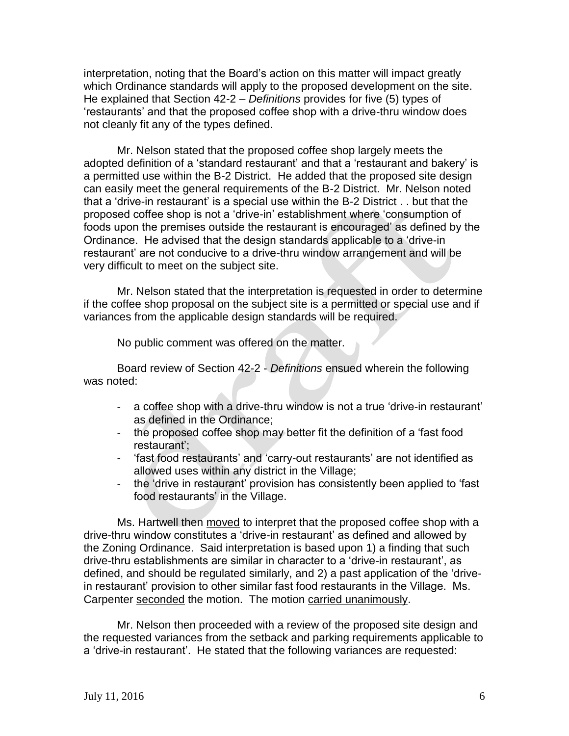interpretation, noting that the Board's action on this matter will impact greatly which Ordinance standards will apply to the proposed development on the site. He explained that Section 42-2 – *Definitions* provides for five (5) types of 'restaurants' and that the proposed coffee shop with a drive-thru window does not cleanly fit any of the types defined.

Mr. Nelson stated that the proposed coffee shop largely meets the adopted definition of a 'standard restaurant' and that a 'restaurant and bakery' is a permitted use within the B-2 District. He added that the proposed site design can easily meet the general requirements of the B-2 District. Mr. Nelson noted that a 'drive-in restaurant' is a special use within the B-2 District . . but that the proposed coffee shop is not a 'drive-in' establishment where 'consumption of foods upon the premises outside the restaurant is encouraged' as defined by the Ordinance. He advised that the design standards applicable to a 'drive-in restaurant' are not conducive to a drive-thru window arrangement and will be very difficult to meet on the subject site.

Mr. Nelson stated that the interpretation is requested in order to determine if the coffee shop proposal on the subject site is a permitted or special use and if variances from the applicable design standards will be required.

No public comment was offered on the matter.

Board review of Section 42-2 - *Definitions* ensued wherein the following was noted:

- a coffee shop with a drive-thru window is not a true 'drive-in restaurant' as defined in the Ordinance;
- the proposed coffee shop may better fit the definition of a 'fast food restaurant';
- 'fast food restaurants' and 'carry-out restaurants' are not identified as allowed uses within any district in the Village;
- the 'drive in restaurant' provision has consistently been applied to 'fast food restaurants' in the Village.

Ms. Hartwell then moved to interpret that the proposed coffee shop with a drive-thru window constitutes a 'drive-in restaurant' as defined and allowed by the Zoning Ordinance. Said interpretation is based upon 1) a finding that such drive-thru establishments are similar in character to a 'drive-in restaurant', as defined, and should be regulated similarly, and 2) a past application of the 'drivein restaurant' provision to other similar fast food restaurants in the Village. Ms. Carpenter seconded the motion. The motion carried unanimously.

Mr. Nelson then proceeded with a review of the proposed site design and the requested variances from the setback and parking requirements applicable to a 'drive-in restaurant'. He stated that the following variances are requested: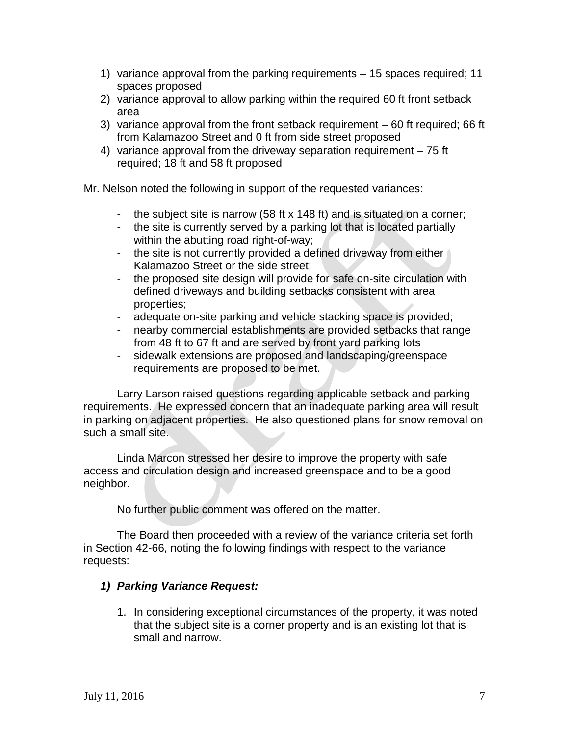- 1) variance approval from the parking requirements 15 spaces required; 11 spaces proposed
- 2) variance approval to allow parking within the required 60 ft front setback area
- 3) variance approval from the front setback requirement 60 ft required; 66 ft from Kalamazoo Street and 0 ft from side street proposed
- 4) variance approval from the driveway separation requirement 75 ft required; 18 ft and 58 ft proposed

Mr. Nelson noted the following in support of the requested variances:

- the subject site is narrow (58 ft x 148 ft) and is situated on a corner;
- the site is currently served by a parking lot that is located partially within the abutting road right-of-way;
- the site is not currently provided a defined driveway from either Kalamazoo Street or the side street;
- the proposed site design will provide for safe on-site circulation with defined driveways and building setbacks consistent with area properties;
- adequate on-site parking and vehicle stacking space is provided;
- nearby commercial establishments are provided setbacks that range from 48 ft to 67 ft and are served by front yard parking lots
- sidewalk extensions are proposed and landscaping/greenspace requirements are proposed to be met.

Larry Larson raised questions regarding applicable setback and parking requirements. He expressed concern that an inadequate parking area will result in parking on adjacent properties. He also questioned plans for snow removal on such a small site.

Linda Marcon stressed her desire to improve the property with safe access and circulation design and increased greenspace and to be a good neighbor.

No further public comment was offered on the matter.

The Board then proceeded with a review of the variance criteria set forth in Section 42-66, noting the following findings with respect to the variance requests:

#### *1) Parking Variance Request:*

1. In considering exceptional circumstances of the property, it was noted that the subject site is a corner property and is an existing lot that is small and narrow.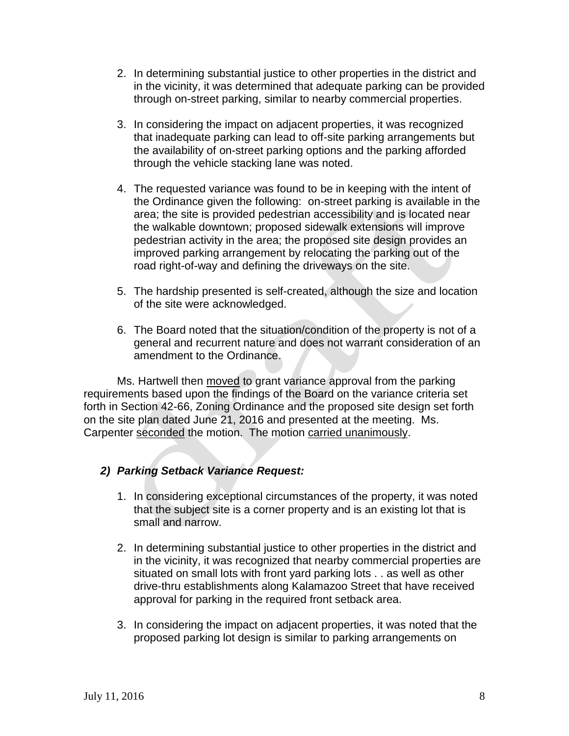- 2. In determining substantial justice to other properties in the district and in the vicinity, it was determined that adequate parking can be provided through on-street parking, similar to nearby commercial properties.
- 3. In considering the impact on adjacent properties, it was recognized that inadequate parking can lead to off-site parking arrangements but the availability of on-street parking options and the parking afforded through the vehicle stacking lane was noted.
- 4. The requested variance was found to be in keeping with the intent of the Ordinance given the following: on-street parking is available in the area; the site is provided pedestrian accessibility and is located near the walkable downtown; proposed sidewalk extensions will improve pedestrian activity in the area; the proposed site design provides an improved parking arrangement by relocating the parking out of the road right-of-way and defining the driveways on the site.
- 5. The hardship presented is self-created, although the size and location of the site were acknowledged.
- 6. The Board noted that the situation/condition of the property is not of a general and recurrent nature and does not warrant consideration of an amendment to the Ordinance.

Ms. Hartwell then moved to grant variance approval from the parking requirements based upon the findings of the Board on the variance criteria set forth in Section 42-66, Zoning Ordinance and the proposed site design set forth on the site plan dated June 21, 2016 and presented at the meeting. Ms. Carpenter seconded the motion. The motion carried unanimously.

# *2) Parking Setback Variance Request:*

- 1. In considering exceptional circumstances of the property, it was noted that the subject site is a corner property and is an existing lot that is small and narrow.
- 2. In determining substantial justice to other properties in the district and in the vicinity, it was recognized that nearby commercial properties are situated on small lots with front yard parking lots . . as well as other drive-thru establishments along Kalamazoo Street that have received approval for parking in the required front setback area.
- 3. In considering the impact on adjacent properties, it was noted that the proposed parking lot design is similar to parking arrangements on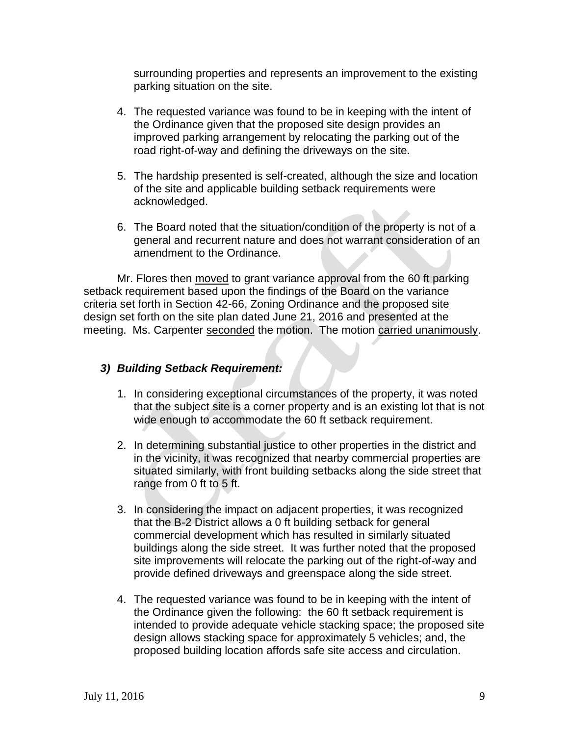surrounding properties and represents an improvement to the existing parking situation on the site.

- 4. The requested variance was found to be in keeping with the intent of the Ordinance given that the proposed site design provides an improved parking arrangement by relocating the parking out of the road right-of-way and defining the driveways on the site.
- 5. The hardship presented is self-created, although the size and location of the site and applicable building setback requirements were acknowledged.
- 6. The Board noted that the situation/condition of the property is not of a general and recurrent nature and does not warrant consideration of an amendment to the Ordinance.

Mr. Flores then moved to grant variance approval from the 60 ft parking setback requirement based upon the findings of the Board on the variance criteria set forth in Section 42-66, Zoning Ordinance and the proposed site design set forth on the site plan dated June 21, 2016 and presented at the meeting. Ms. Carpenter seconded the motion. The motion carried unanimously.

## *3) Building Setback Requirement:*

- 1. In considering exceptional circumstances of the property, it was noted that the subject site is a corner property and is an existing lot that is not wide enough to accommodate the 60 ft setback requirement.
- 2. In determining substantial justice to other properties in the district and in the vicinity, it was recognized that nearby commercial properties are situated similarly, with front building setbacks along the side street that range from 0 ft to 5 ft.
- 3. In considering the impact on adjacent properties, it was recognized that the B-2 District allows a 0 ft building setback for general commercial development which has resulted in similarly situated buildings along the side street. It was further noted that the proposed site improvements will relocate the parking out of the right-of-way and provide defined driveways and greenspace along the side street.
- 4. The requested variance was found to be in keeping with the intent of the Ordinance given the following: the 60 ft setback requirement is intended to provide adequate vehicle stacking space; the proposed site design allows stacking space for approximately 5 vehicles; and, the proposed building location affords safe site access and circulation.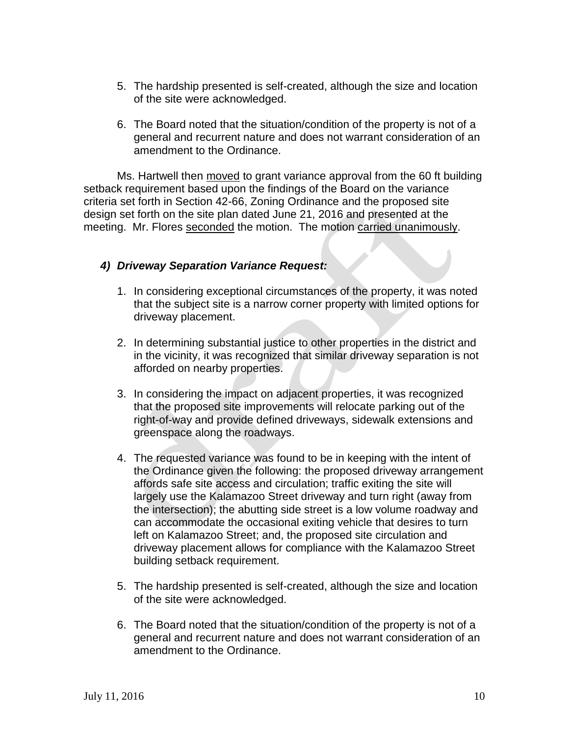- 5. The hardship presented is self-created, although the size and location of the site were acknowledged.
- 6. The Board noted that the situation/condition of the property is not of a general and recurrent nature and does not warrant consideration of an amendment to the Ordinance.

Ms. Hartwell then moved to grant variance approval from the 60 ft building setback requirement based upon the findings of the Board on the variance criteria set forth in Section 42-66, Zoning Ordinance and the proposed site design set forth on the site plan dated June 21, 2016 and presented at the meeting. Mr. Flores seconded the motion. The motion carried unanimously.

#### *4) Driveway Separation Variance Request:*

- 1. In considering exceptional circumstances of the property, it was noted that the subject site is a narrow corner property with limited options for driveway placement.
- 2. In determining substantial justice to other properties in the district and in the vicinity, it was recognized that similar driveway separation is not afforded on nearby properties.
- 3. In considering the impact on adjacent properties, it was recognized that the proposed site improvements will relocate parking out of the right-of-way and provide defined driveways, sidewalk extensions and greenspace along the roadways.
- 4. The requested variance was found to be in keeping with the intent of the Ordinance given the following: the proposed driveway arrangement affords safe site access and circulation; traffic exiting the site will largely use the Kalamazoo Street driveway and turn right (away from the intersection); the abutting side street is a low volume roadway and can accommodate the occasional exiting vehicle that desires to turn left on Kalamazoo Street; and, the proposed site circulation and driveway placement allows for compliance with the Kalamazoo Street building setback requirement.
- 5. The hardship presented is self-created, although the size and location of the site were acknowledged.
- 6. The Board noted that the situation/condition of the property is not of a general and recurrent nature and does not warrant consideration of an amendment to the Ordinance.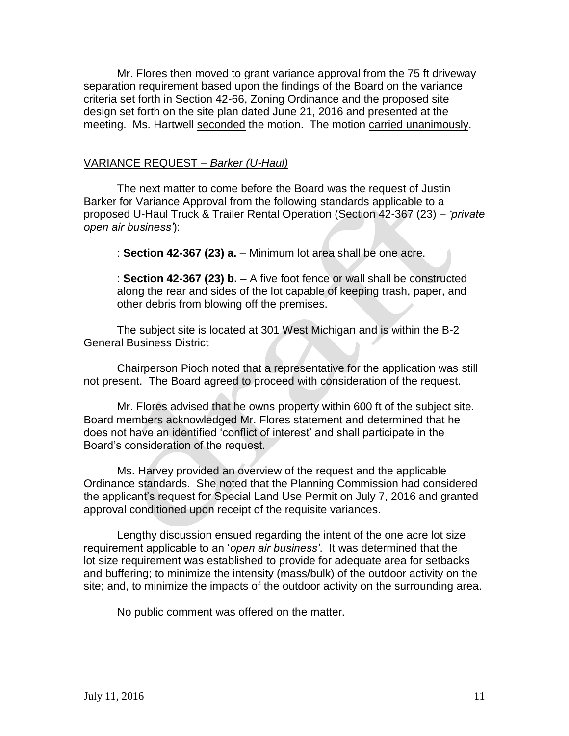Mr. Flores then moved to grant variance approval from the 75 ft driveway separation requirement based upon the findings of the Board on the variance criteria set forth in Section 42-66, Zoning Ordinance and the proposed site design set forth on the site plan dated June 21, 2016 and presented at the meeting. Ms. Hartwell seconded the motion. The motion carried unanimously.

#### VARIANCE REQUEST *– Barker (U-Haul)*

The next matter to come before the Board was the request of Justin Barker for Variance Approval from the following standards applicable to a proposed U-Haul Truck & Trailer Rental Operation (Section 42-367 (23) – *'private open air business'*):

: **Section 42-367 (23) a.** – Minimum lot area shall be one acre.

: **Section 42-367 (23) b.** – A five foot fence or wall shall be constructed along the rear and sides of the lot capable of keeping trash, paper, and other debris from blowing off the premises.

The subject site is located at 301 West Michigan and is within the B-2 General Business District

Chairperson Pioch noted that a representative for the application was still not present. The Board agreed to proceed with consideration of the request.

Mr. Flores advised that he owns property within 600 ft of the subject site. Board members acknowledged Mr. Flores statement and determined that he does not have an identified 'conflict of interest' and shall participate in the Board's consideration of the request.

Ms. Harvey provided an overview of the request and the applicable Ordinance standards. She noted that the Planning Commission had considered the applicant's request for Special Land Use Permit on July 7, 2016 and granted approval conditioned upon receipt of the requisite variances.

Lengthy discussion ensued regarding the intent of the one acre lot size requirement applicable to an '*open air business'*. It was determined that the lot size requirement was established to provide for adequate area for setbacks and buffering; to minimize the intensity (mass/bulk) of the outdoor activity on the site; and, to minimize the impacts of the outdoor activity on the surrounding area.

No public comment was offered on the matter.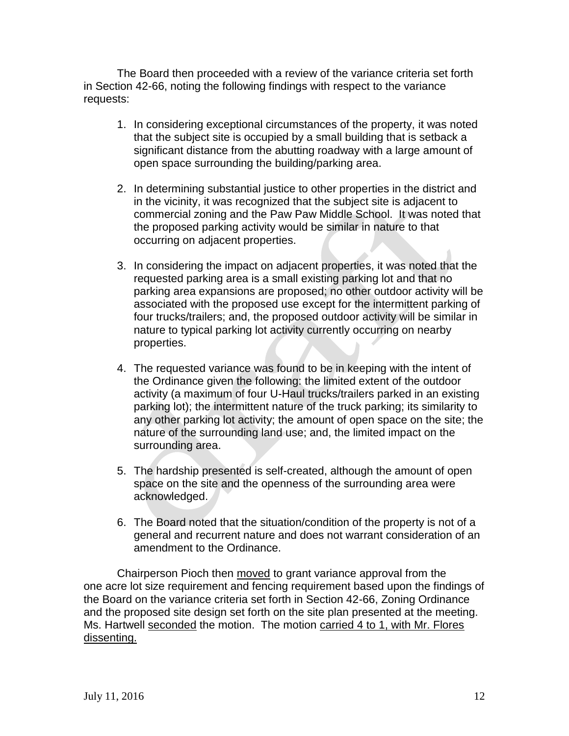The Board then proceeded with a review of the variance criteria set forth in Section 42-66, noting the following findings with respect to the variance requests:

- 1. In considering exceptional circumstances of the property, it was noted that the subject site is occupied by a small building that is setback a significant distance from the abutting roadway with a large amount of open space surrounding the building/parking area.
- 2. In determining substantial justice to other properties in the district and in the vicinity, it was recognized that the subject site is adjacent to commercial zoning and the Paw Paw Middle School. It was noted that the proposed parking activity would be similar in nature to that occurring on adjacent properties.
- 3. In considering the impact on adjacent properties, it was noted that the requested parking area is a small existing parking lot and that no parking area expansions are proposed; no other outdoor activity will be associated with the proposed use except for the intermittent parking of four trucks/trailers; and, the proposed outdoor activity will be similar in nature to typical parking lot activity currently occurring on nearby properties.
- 4. The requested variance was found to be in keeping with the intent of the Ordinance given the following: the limited extent of the outdoor activity (a maximum of four U-Haul trucks/trailers parked in an existing parking lot); the intermittent nature of the truck parking; its similarity to any other parking lot activity; the amount of open space on the site; the nature of the surrounding land use; and, the limited impact on the surrounding area.
- 5. The hardship presented is self-created, although the amount of open space on the site and the openness of the surrounding area were acknowledged.
- 6. The Board noted that the situation/condition of the property is not of a general and recurrent nature and does not warrant consideration of an amendment to the Ordinance.

Chairperson Pioch then moved to grant variance approval from the one acre lot size requirement and fencing requirement based upon the findings of the Board on the variance criteria set forth in Section 42-66, Zoning Ordinance and the proposed site design set forth on the site plan presented at the meeting. Ms. Hartwell seconded the motion. The motion carried 4 to 1, with Mr. Flores dissenting.